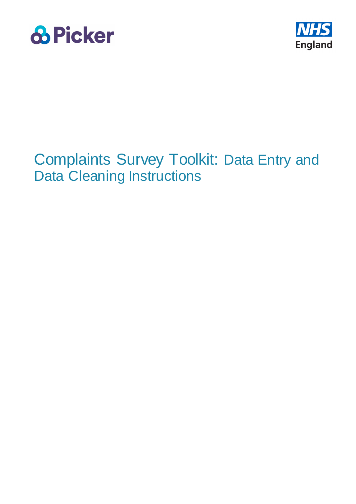



# Complaints Survey Toolkit: Data Entry and Data Cleaning Instructions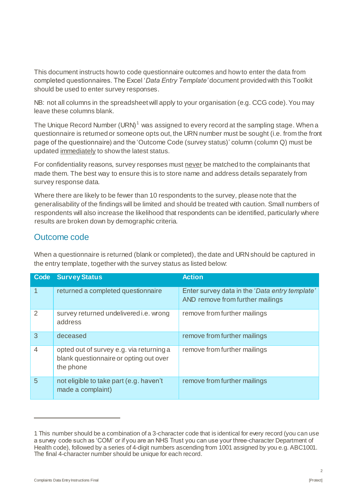This document instructs how to code questionnaire outcomes and how to enter the data from completed questionnaires. The Excel '*Data Entry Template'* document provided with this Toolkit should be used to enter survey responses.

NB: not all columns in the spreadsheet will apply to your organisation (e.g. CCG code). You may leave these columns blank.

The Unique Record Number (URN)<sup>1</sup> was assigned to every record at the sampling stage. When a questionnaire is returned or someone opts out, the URN number must be sought (i.e. from the front page of the questionnaire) and the 'Outcome Code (survey status)' column (column Q) must be updated immediately to show the latest status.

For confidentiality reasons, survey responses must never be matched to the complainants that made them. The best way to ensure this is to store name and address details separately from survey response data.

Where there are likely to be fewer than 10 respondents to the survey, please note that the generalisability of the findings will be limited and should be treated with caution. Small numbers of respondents will also increase the likelihood that respondents can be identified, particularly where results are broken down by demographic criteria.

### Outcome code

When a questionnaire is returned (blank or completed), the date and URN should be captured in the entry template, together with the survey status as listed below:

| Code           | <b>Survey Status</b>                                                                            | <b>Action</b>                                                                      |
|----------------|-------------------------------------------------------------------------------------------------|------------------------------------------------------------------------------------|
| $\mathbf{1}$   | returned a completed questionnaire                                                              | Enter survey data in the 'Data entry template'<br>AND remove from further mailings |
| $\mathcal{P}$  | survey returned undelivered i.e. wrong<br>address                                               | remove from further mailings                                                       |
| 3              | deceased                                                                                        | remove from further mailings                                                       |
| $\overline{4}$ | opted out of survey e.g. via returning a<br>blank questionnaire or opting out over<br>the phone | remove from further mailings                                                       |
| 5              | not eligible to take part (e.g. haven't<br>made a complaint)                                    | remove from further mailings                                                       |

1

 $\overline{2}$ 

<sup>1</sup> This number should be a combination of a 3-character code that is identical for every record (you can use a survey code such as 'COM' or if you are an NHS Trust you can use your three-character Department of Health code), followed by a series of 4-digit numbers ascending from 1001 assigned by you e.g. ABC1001. The final 4-character number should be unique for each record.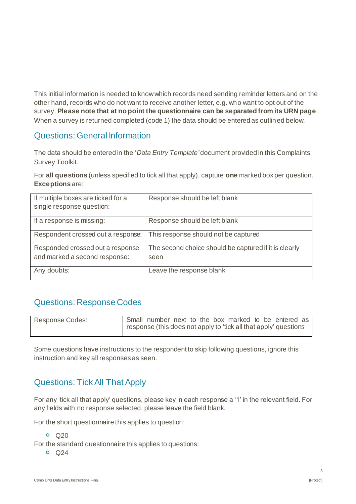This initial information is needed to know which records need sending reminder letters and on the other hand, records who do not want to receive another letter, e.g. who want to opt out of the survey. **Please note that at no point the questionnaire can be separated from its URN page**. When a survey is returned completed (code 1) the data should be entered as outlined below.

#### Questions: General Information

The data should be entered in the '*Data Entry Template'* document provided in this Complaints Survey Toolkit.

For **all questions** (unless specified to tick all that apply), capture **one** marked box per question. **Exceptions** are:

| If multiple boxes are ticked for a<br>single response question:   | Response should be left blank                                 |
|-------------------------------------------------------------------|---------------------------------------------------------------|
| If a response is missing:                                         | Response should be left blank                                 |
| Respondent crossed out a response:                                | This response should not be captured                          |
| Responded crossed out a response<br>and marked a second response: | The second choice should be captured if it is clearly<br>seen |
| Any doubts:                                                       | Leave the response blank                                      |

# Questions: Response Codes

| Response Codes: |  |  |  |  | Small number next to the box marked to be entered as             |  |
|-----------------|--|--|--|--|------------------------------------------------------------------|--|
|                 |  |  |  |  | response (this does not apply to 'tick all that apply' questions |  |

Some questions have instructions to the respondent to skip following questions, ignore this instruction and key all responses as seen.

# Questions: Tick All That Apply

For any 'tick all that apply' questions, please key in each response a '1' in the relevant field. For any fields with no response selected, please leave the field blank.

For the short questionnaire this applies to question:

Q20

For the standard questionnaire this applies to questions:

 $\circ$  Q24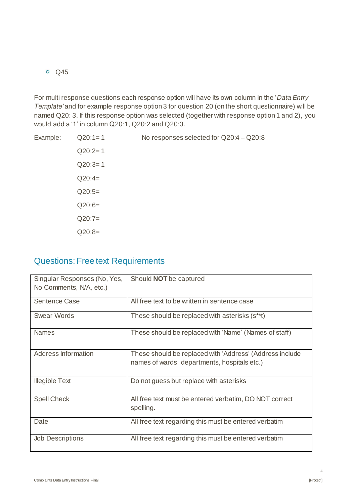Q45

For multi response questions each response option will have its own column in the '*Data Entry Template'* and for example response option 3 for question 20 (on the short questionnaire) will be named Q20: 3. If this response option was selected (together with response option 1 and 2), you would add a '1' in column Q20:1, Q20:2 and Q20:3.

Example: Q20:1= 1 No responses selected for Q20:4 – Q20:8  $Q20:2=1$  $Q20:3=1$  $Q20:4=$  $Q20:5=$  $Q20:6=$  $Q20:7=$  $Q20:8=$ 

#### Questions: Free text Requirements

| Singular Responses (No, Yes,<br>No Comments, N/A, etc.) | Should NOT be captured                                                                                   |
|---------------------------------------------------------|----------------------------------------------------------------------------------------------------------|
| <b>Sentence Case</b>                                    | All free text to be written in sentence case                                                             |
| <b>Swear Words</b>                                      | These should be replaced with asterisks (s**t)                                                           |
| <b>Names</b>                                            | These should be replaced with 'Name' (Names of staff)                                                    |
| <b>Address Information</b>                              | These should be replaced with 'Address' (Address include<br>names of wards, departments, hospitals etc.) |
| <b>Illegible Text</b>                                   | Do not guess but replace with asterisks                                                                  |
| <b>Spell Check</b>                                      | All free text must be entered verbatim, DO NOT correct<br>spelling.                                      |
| Date                                                    | All free text regarding this must be entered verbatim                                                    |
| <b>Job Descriptions</b>                                 | All free text regarding this must be entered verbatim                                                    |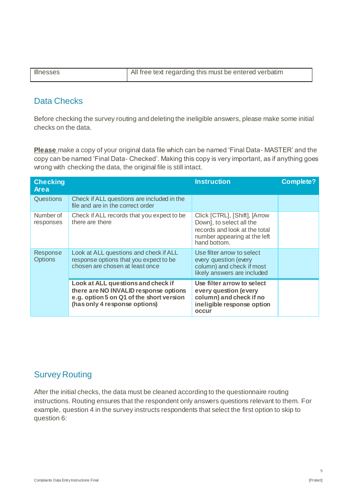| <b>Illnesses</b> | All free text regarding this must be entered verbatim |
|------------------|-------------------------------------------------------|

### Data Checks

Before checking the survey routing and deleting the ineligible answers, please make some initial checks on the data.

**Please** make a copy of your original data file which can be named 'Final Data- MASTER' and the copy can be named 'Final Data- Checked'. Making this copy is very important, as if anything goes wrong with checking the data, the original file is still intact.

| <b>Checking</b><br><b>Area</b> |                                                                                                                                                          | <b>Instruction</b>                                                                                                                         | <b>Complete?</b> |
|--------------------------------|----------------------------------------------------------------------------------------------------------------------------------------------------------|--------------------------------------------------------------------------------------------------------------------------------------------|------------------|
| Questions                      | Check if ALL questions are included in the<br>file and are in the correct order                                                                          |                                                                                                                                            |                  |
| Number of<br>responses         | Check if ALL records that you expect to be<br>there are there                                                                                            | Click [CTRL], [Shift], [Arrow<br>Down], to select all the<br>records and look at the total<br>number appearing at the left<br>hand bottom. |                  |
| Response<br><b>Options</b>     | Look at ALL questions and check if ALL<br>response options that you expect to be<br>chosen are chosen at least once                                      | Use filter arrow to select<br>every question (every<br>column) and check if most<br>likely answers are included                            |                  |
|                                | Look at ALL questions and check if<br>there are NO INVALID response options<br>e.g. option 5 on Q1 of the short version<br>(has only 4 response options) | Use filter arrow to select<br>every question (every<br>column) and check if no<br>ineligible response option<br>occur                      |                  |

## Survey Routing

After the initial checks, the data must be cleaned according to the questionnaire routing instructions. Routing ensures that the respondent only answers questions relevant to them. For example, question 4 in the survey instructs respondents that select the first option to skip to question 6: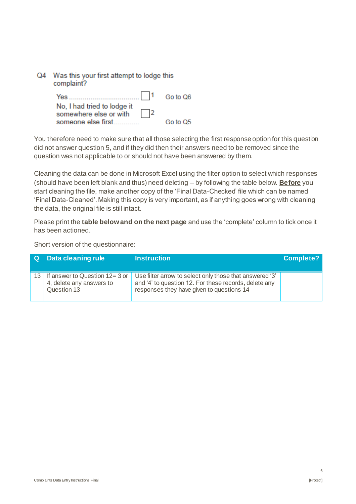| Q4 | Was this your first attempt to lodge this<br>complaint?            |          |  |  |
|----|--------------------------------------------------------------------|----------|--|--|
|    |                                                                    | Go to Q6 |  |  |
|    | No, I had tried to lodge it<br>$\vert$ 2<br>somewhere else or with |          |  |  |
|    | someone else first                                                 | Go to Q5 |  |  |

You therefore need to make sure that all those selecting the first response option for this question did not answer question 5, and if they did then their answers need to be removed since the question was not applicable to or should not have been answered by them.

Cleaning the data can be done in Microsoft Excel using the filter option to select which responses (should have been left blank and thus) need deleting – by following the table below. **Before** you start cleaning the file, make another copy of the 'Final Data-Checked' file which can be named 'Final Data-Cleaned'. Making this copy is very important, as if anything goes wrong with cleaning the data, the original file is still intact.

Please print the **table below and on the next page** and use the 'complete' column to tick once it has been actioned.

Short version of the questionnaire:

| <b>Q</b> | Data cleaning rule                                                           | <b>Instruction</b>                                                                                                                                            | <b>Complete?</b> |
|----------|------------------------------------------------------------------------------|---------------------------------------------------------------------------------------------------------------------------------------------------------------|------------------|
|          | 13 If answer to Question 12= 3 or<br>4, delete any answers to<br>Question 13 | Use filter arrow to select only those that answered '3'<br>and '4' to question 12. For these records, delete any<br>responses they have given to questions 14 |                  |